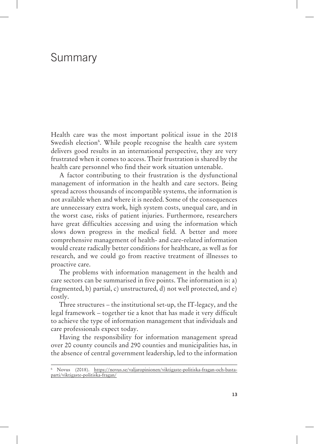# Summary

Health care was the most important political issue in the 2018 Swedish election<sup>6</sup>. While people recognise the health care system delivers good results in an international perspective, they are very frustrated when it comes to access. Their frustration is shared by the health care personnel who find their work situation untenable.

A factor contributing to their frustration is the dysfunctional management of information in the health and care sectors. Being spread across thousands of incompatible systems, the information is not available when and where it is needed. Some of the consequences are unnecessary extra work, high system costs, unequal care, and in the worst case, risks of patient injuries. Furthermore, researchers have great difficulties accessing and using the information which slows down progress in the medical field. A better and more comprehensive management of health- and care-related information would create radically better conditions for healthcare, as well as for research, and we could go from reactive treatment of illnesses to proactive care.

The problems with information management in the health and care sectors can be summarised in five points. The information is: a) fragmented, b) partial, c) unstructured, d) not well protected, and e) costly.

Three structures – the institutional set-up, the IT-legacy, and the legal framework – together tie a knot that has made it very difficult to achieve the type of information management that individuals and care professionals expect today.

Having the responsibility for information management spread over 20 county councils and 290 counties and municipalities has, in the absence of central government leadership, led to the information

<sup>6</sup> Novus (2018). https://novus.se/valjaropinionen/viktigaste-politiska-fragan-och-bastaparti/viktigaste-politiska-fragan/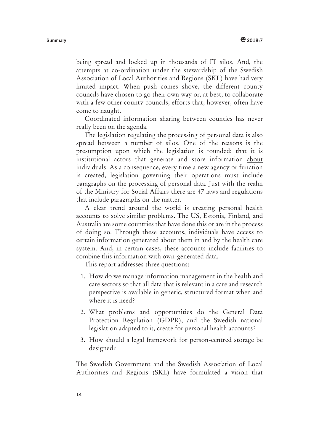being spread and locked up in thousands of IT silos. And, the attempts at co-ordination under the stewardship of the Swedish Association of Local Authorities and Regions (SKL) have had very limited impact. When push comes shove, the different county councils have chosen to go their own way or, at best, to collaborate with a few other county councils, efforts that, however, often have come to naught.

Coordinated information sharing between counties has never really been on the agenda.

The legislation regulating the processing of personal data is also spread between a number of silos. One of the reasons is the presumption upon which the legislation is founded: that it is institutional actors that generate and store information about individuals. As a consequence, every time a new agency or function is created, legislation governing their operations must include paragraphs on the processing of personal data. Just with the realm of the Ministry for Social Affairs there are 47 laws and regulations that include paragraphs on the matter.

A clear trend around the world is creating personal health accounts to solve similar problems. The US, Estonia, Finland, and Australia are some countries that have done this or are in the process of doing so. Through these accounts, individuals have access to certain information generated about them in and by the health care system. And, in certain cases, these accounts include facilities to combine this information with own-generated data.

This report addresses three questions:

- 1. How do we manage information management in the health and care sectors so that all data that is relevant in a care and research perspective is available in generic, structured format when and where it is need?
- 2. What problems and opportunities do the General Data Protection Regulation (GDPR), and the Swedish national legislation adapted to it, create for personal health accounts?
- 3. How should a legal framework for person-centred storage be designed?

The Swedish Government and the Swedish Association of Local Authorities and Regions (SKL) have formulated a vision that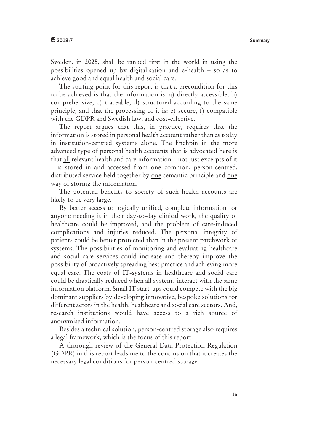### **2018:7 Summary**

Sweden, in 2025, shall be ranked first in the world in using the possibilities opened up by digitalisation and e-health – so as to achieve good and equal health and social care.

The starting point for this report is that a precondition for this to be achieved is that the information is: a) directly accessible, b) comprehensive, c) traceable, d) structured according to the same principle, and that the processing of it is: e) secure, f) compatible with the GDPR and Swedish law, and cost-effective.

The report argues that this, in practice, requires that the information is stored in personal health account rather than as today in institution-centred systems alone. The linchpin in the more advanced type of personal health accounts that is advocated here is that all relevant health and care information – not just excerpts of it – is stored in and accessed from one common, person-centred, distributed service held together by one semantic principle and one way of storing the information.

The potential benefits to society of such health accounts are likely to be very large.

By better access to logically unified, complete information for anyone needing it in their day-to-day clinical work, the quality of healthcare could be improved, and the problem of care-induced complications and injuries reduced. The personal integrity of patients could be better protected than in the present patchwork of systems. The possibilities of monitoring and evaluating healthcare and social care services could increase and thereby improve the possibility of proactively spreading best practice and achieving more equal care. The costs of IT-systems in healthcare and social care could be drastically reduced when all systems interact with the same information platform. Small IT start-ups could compete with the big dominant suppliers by developing innovative, bespoke solutions for different actors in the health, healthcare and social care sectors. And, research institutions would have access to a rich source of anonymised information.

Besides a technical solution, person-centred storage also requires a legal framework, which is the focus of this report.

A thorough review of the General Data Protection Regulation (GDPR) in this report leads me to the conclusion that it creates the necessary legal conditions for person-centred storage.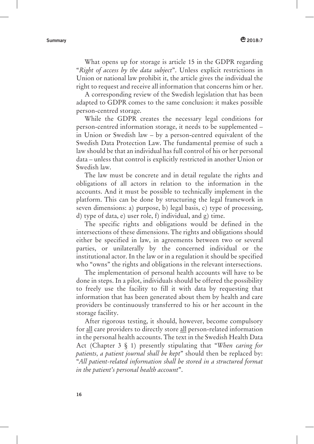What opens up for storage is article 15 in the GDPR regarding "*Right of access by the data subject*". Unless explicit restrictions in Union or national law prohibit it, the article gives the individual the right to request and receive all information that concerns him or her.

A corresponding review of the Swedish legislation that has been adapted to GDPR comes to the same conclusion: it makes possible person-centred storage.

While the GDPR creates the necessary legal conditions for person-centred information storage, it needs to be supplemented – in Union or Swedish law – by a person-centred equivalent of the Swedish Data Protection Law. The fundamental premise of such a law should be that an individual has full control of his or her personal data – unless that control is explicitly restricted in another Union or Swedish law.

The law must be concrete and in detail regulate the rights and obligations of all actors in relation to the information in the accounts. And it must be possible to technically implement in the platform. This can be done by structuring the legal framework in seven dimensions: a) purpose, b) legal basis, c) type of processing, d) type of data, e) user role, f) individual, and g) time.

The specific rights and obligations would be defined in the intersections of these dimensions. The rights and obligations should either be specified in law, in agreements between two or several parties, or unilaterally by the concerned individual or the institutional actor. In the law or in a regulation it should be specified who "owns" the rights and obligations in the relevant intersections.

The implementation of personal health accounts will have to be done in steps. In a pilot, individuals should be offered the possibility to freely use the facility to fill it with data by requesting that information that has been generated about them by health and care providers be continuously transferred to his or her account in the storage facility.

After rigorous testing, it should, however, become compulsory for all care providers to directly store all person-related information in the personal health accounts. The text in the Swedish Health Data Act (Chapter 3 § 1) presently stipulating that "*When caring for patients, a patient journal shall be kept*" should then be replaced by: "*All patient-related information shall be stored in a structured format in the patient's personal health account*".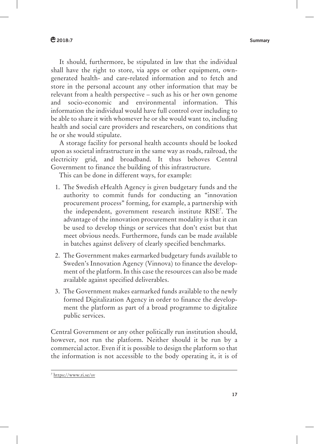## **2018:7 Summary**

It should, furthermore, be stipulated in law that the individual shall have the right to store, via apps or other equipment, owngenerated health- and care-related information and to fetch and store in the personal account any other information that may be relevant from a health perspective – such as his or her own genome and socio-economic and environmental information. This information the individual would have full control over including to be able to share it with whomever he or she would want to, including health and social care providers and researchers, on conditions that he or she would stipulate.

A storage facility for personal health accounts should be looked upon as societal infrastructure in the same way as roads, railroad, the electricity grid, and broadband. It thus behoves Central Government to finance the building of this infrastructure.

This can be done in different ways, for example:

- 1. The Swedish eHealth Agency is given budgetary funds and the authority to commit funds for conducting an "innovation procurement process" forming, for example, a partnership with the independent, government research institute RISE7 . The advantage of the innovation procurement modality is that it can be used to develop things or services that don't exist but that meet obvious needs. Furthermore, funds can be made available in batches against delivery of clearly specified benchmarks.
- 2. The Government makes earmarked budgetary funds available to Sweden's Innovation Agency (Vinnova) to finance the development of the platform. In this case the resources can also be made available against specified deliverables.
- 3. The Government makes earmarked funds available to the newly formed Digitalization Agency in order to finance the development the platform as part of a broad programme to digitalize public services.

Central Government or any other politically run institution should, however, not run the platform. Neither should it be run by a commercial actor. Even if it is possible to design the platform so that the information is not accessible to the body operating it, it is of

 <sup>7</sup> https://www.ri.se/sv